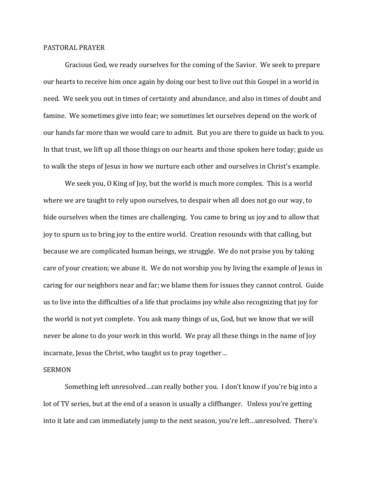## PASTORAL PRAYER

 Gracious God, we ready ourselves for the coming of the Savior. We seek to prepare our hearts to receive him once again by doing our best to live out this Gospel in a world in need. We seek you out in times of certainty and abundance, and also in times of doubt and famine. We sometimes give into fear; we sometimes let ourselves depend on the work of our hands far more than we would care to admit. But you are there to guide us back to you. In that trust, we lift up all those things on our hearts and those spoken here today; guide us to walk the steps of Jesus in how we nurture each other and ourselves in Christ's example.

We seek you, O King of Joy, but the world is much more complex. This is a world where we are taught to rely upon ourselves, to despair when all does not go our way, to hide ourselves when the times are challenging. You came to bring us joy and to allow that joy to spurn us to bring joy to the entire world. Creation resounds with that calling, but because we are complicated human beings, we struggle. We do not praise you by taking care of your creation; we abuse it. We do not worship you by living the example of Jesus in caring for our neighbors near and far; we blame them for issues they cannot control. Guide us to live into the difficulties of a life that proclaims joy while also recognizing that joy for the world is not yet complete. You ask many things of us, God, but we know that we will never be alone to do your work in this world. We pray all these things in the name of Joy incarnate, Jesus the Christ, who taught us to pray together…

## SERMON

 Something left unresolved…can really bother you. I don't know if you're big into a lot of TV series, but at the end of a season is usually a cliffhanger. Unless you're getting into it late and can immediately jump to the next season, you're left…unresolved. There's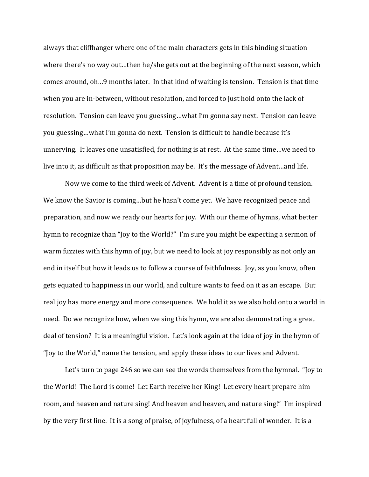always that cliffhanger where one of the main characters gets in this binding situation where there's no way out…then he/she gets out at the beginning of the next season, which comes around, oh…9 months later. In that kind of waiting is tension. Tension is that time when you are in-between, without resolution, and forced to just hold onto the lack of resolution. Tension can leave you guessing…what I'm gonna say next. Tension can leave you guessing…what I'm gonna do next. Tension is difficult to handle because it's unnerving. It leaves one unsatisfied, for nothing is at rest. At the same time…we need to live into it, as difficult as that proposition may be. It's the message of Advent…and life.

 Now we come to the third week of Advent. Advent is a time of profound tension. We know the Savior is coming…but he hasn't come yet. We have recognized peace and preparation, and now we ready our hearts for joy. With our theme of hymns, what better hymn to recognize than "Joy to the World?" I'm sure you might be expecting a sermon of warm fuzzies with this hymn of joy, but we need to look at joy responsibly as not only an end in itself but how it leads us to follow a course of faithfulness. Joy, as you know, often gets equated to happiness in our world, and culture wants to feed on it as an escape. But real joy has more energy and more consequence. We hold it as we also hold onto a world in need. Do we recognize how, when we sing this hymn, we are also demonstrating a great deal of tension? It is a meaningful vision. Let's look again at the idea of joy in the hymn of "Joy to the World," name the tension, and apply these ideas to our lives and Advent.

Let's turn to page 246 so we can see the words themselves from the hymnal. "Joy to the World! The Lord is come! Let Earth receive her King! Let every heart prepare him room, and heaven and nature sing! And heaven and heaven, and nature sing!" I'm inspired by the very first line. It is a song of praise, of joyfulness, of a heart full of wonder. It is a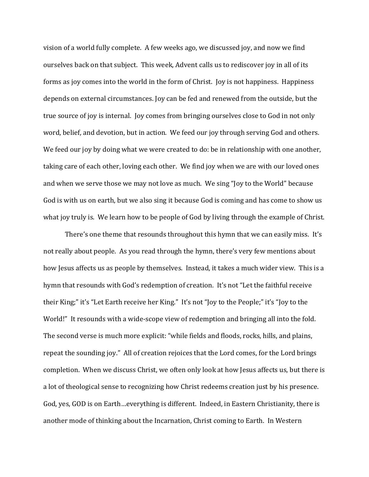vision of a world fully complete. A few weeks ago, we discussed joy, and now we find ourselves back on that subject. This week, Advent calls us to rediscover joy in all of its forms as joy comes into the world in the form of Christ. Joy is not happiness. Happiness depends on external circumstances. Joy can be fed and renewed from the outside, but the true source of joy is internal. Joy comes from bringing ourselves close to God in not only word, belief, and devotion, but in action. We feed our joy through serving God and others. We feed our joy by doing what we were created to do: be in relationship with one another, taking care of each other, loving each other. We find joy when we are with our loved ones and when we serve those we may not love as much. We sing "Joy to the World" because God is with us on earth, but we also sing it because God is coming and has come to show us what joy truly is. We learn how to be people of God by living through the example of Christ.

 There's one theme that resounds throughout this hymn that we can easily miss. It's not really about people. As you read through the hymn, there's very few mentions about how Jesus affects us as people by themselves. Instead, it takes a much wider view. This is a hymn that resounds with God's redemption of creation. It's not "Let the faithful receive their King;" it's "Let Earth receive her King." It's not "Joy to the People;" it's "Joy to the World!" It resounds with a wide-scope view of redemption and bringing all into the fold. The second verse is much more explicit: "while fields and floods, rocks, hills, and plains, repeat the sounding joy." All of creation rejoices that the Lord comes, for the Lord brings completion. When we discuss Christ, we often only look at how Jesus affects us, but there is a lot of theological sense to recognizing how Christ redeems creation just by his presence. God, yes, GOD is on Earth…everything is different. Indeed, in Eastern Christianity, there is another mode of thinking about the Incarnation, Christ coming to Earth. In Western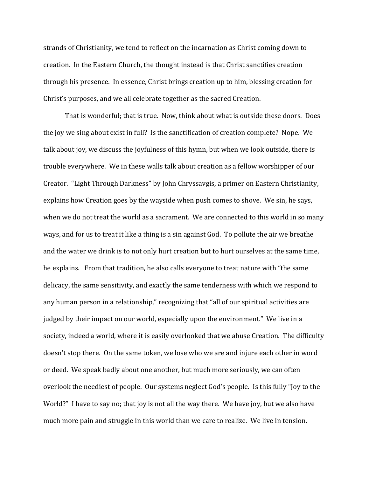strands of Christianity, we tend to reflect on the incarnation as Christ coming down to creation. In the Eastern Church, the thought instead is that Christ sanctifies creation through his presence. In essence, Christ brings creation up to him, blessing creation for Christ's purposes, and we all celebrate together as the sacred Creation.

 That is wonderful; that is true. Now, think about what is outside these doors. Does the joy we sing about exist in full? Is the sanctification of creation complete? Nope. We talk about joy, we discuss the joyfulness of this hymn, but when we look outside, there is trouble everywhere. We in these walls talk about creation as a fellow worshipper of our Creator. "Light Through Darkness" by John Chryssavgis, a primer on Eastern Christianity, explains how Creation goes by the wayside when push comes to shove. We sin, he says, when we do not treat the world as a sacrament. We are connected to this world in so many ways, and for us to treat it like a thing is a sin against God. To pollute the air we breathe and the water we drink is to not only hurt creation but to hurt ourselves at the same time, he explains. From that tradition, he also calls everyone to treat nature with "the same delicacy, the same sensitivity, and exactly the same tenderness with which we respond to any human person in a relationship," recognizing that "all of our spiritual activities are judged by their impact on our world, especially upon the environment." We live in a society, indeed a world, where it is easily overlooked that we abuse Creation. The difficulty doesn't stop there. On the same token, we lose who we are and injure each other in word or deed. We speak badly about one another, but much more seriously, we can often overlook the neediest of people. Our systems neglect God's people. Is this fully "Joy to the World?" I have to say no; that joy is not all the way there. We have joy, but we also have much more pain and struggle in this world than we care to realize. We live in tension.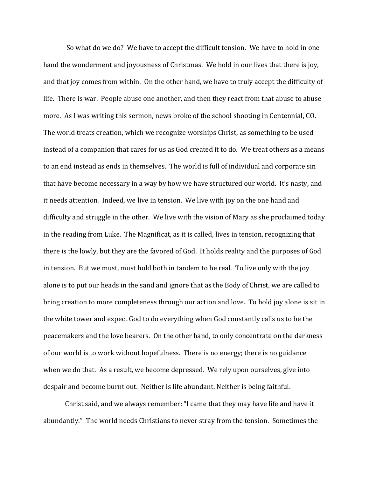So what do we do? We have to accept the difficult tension. We have to hold in one hand the wonderment and joyousness of Christmas. We hold in our lives that there is joy, and that joy comes from within. On the other hand, we have to truly accept the difficulty of life. There is war. People abuse one another, and then they react from that abuse to abuse more. As I was writing this sermon, news broke of the school shooting in Centennial, CO. The world treats creation, which we recognize worships Christ, as something to be used instead of a companion that cares for us as God created it to do. We treat others as a means to an end instead as ends in themselves. The world is full of individual and corporate sin that have become necessary in a way by how we have structured our world. It's nasty, and it needs attention. Indeed, we live in tension. We live with joy on the one hand and difficulty and struggle in the other. We live with the vision of Mary as she proclaimed today in the reading from Luke. The Magnificat, as it is called, lives in tension, recognizing that there is the lowly, but they are the favored of God. It holds reality and the purposes of God in tension. But we must, must hold both in tandem to be real. To live only with the joy alone is to put our heads in the sand and ignore that as the Body of Christ, we are called to bring creation to more completeness through our action and love. To hold joy alone is sit in the white tower and expect God to do everything when God constantly calls us to be the peacemakers and the love bearers. On the other hand, to only concentrate on the darkness of our world is to work without hopefulness. There is no energy; there is no guidance when we do that. As a result, we become depressed. We rely upon ourselves, give into despair and become burnt out. Neither is life abundant. Neither is being faithful.

Christ said, and we always remember: "I came that they may have life and have it abundantly." The world needs Christians to never stray from the tension. Sometimes the